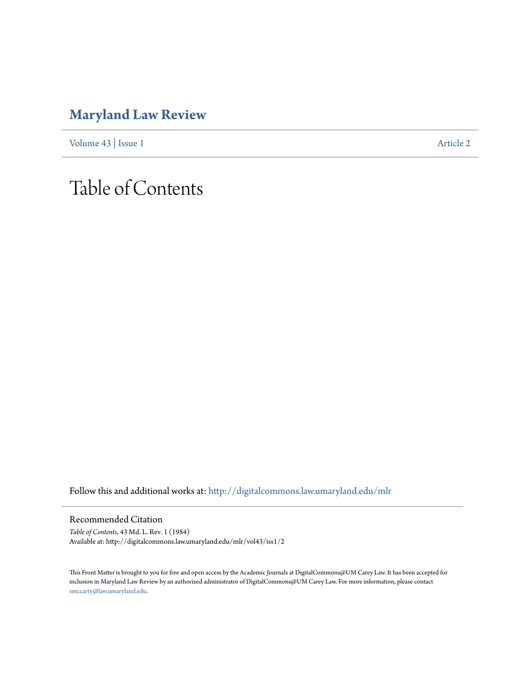## **[Maryland Law Review](http://digitalcommons.law.umaryland.edu/mlr?utm_source=digitalcommons.law.umaryland.edu%2Fmlr%2Fvol43%2Fiss1%2F2&utm_medium=PDF&utm_campaign=PDFCoverPages)**

[Volume 43](http://digitalcommons.law.umaryland.edu/mlr/vol43?utm_source=digitalcommons.law.umaryland.edu%2Fmlr%2Fvol43%2Fiss1%2F2&utm_medium=PDF&utm_campaign=PDFCoverPages) | [Issue 1](http://digitalcommons.law.umaryland.edu/mlr/vol43/iss1?utm_source=digitalcommons.law.umaryland.edu%2Fmlr%2Fvol43%2Fiss1%2F2&utm_medium=PDF&utm_campaign=PDFCoverPages) [Article 2](http://digitalcommons.law.umaryland.edu/mlr/vol43/iss1/2?utm_source=digitalcommons.law.umaryland.edu%2Fmlr%2Fvol43%2Fiss1%2F2&utm_medium=PDF&utm_campaign=PDFCoverPages)

## Table of Contents

Follow this and additional works at: [http://digitalcommons.law.umaryland.edu/mlr](http://digitalcommons.law.umaryland.edu/mlr?utm_source=digitalcommons.law.umaryland.edu%2Fmlr%2Fvol43%2Fiss1%2F2&utm_medium=PDF&utm_campaign=PDFCoverPages)

Recommended Citation

*Table of Contents*, 43 Md. L. Rev. 1 (1984) Available at: http://digitalcommons.law.umaryland.edu/mlr/vol43/iss1/2

This Front Matter is brought to you for free and open access by the Academic Journals at DigitalCommons@UM Carey Law. It has been accepted for inclusion in Maryland Law Review by an authorized administrator of DigitalCommons@UM Carey Law. For more information, please contact [smccarty@law.umaryland.edu.](mailto:smccarty@law.umaryland.edu)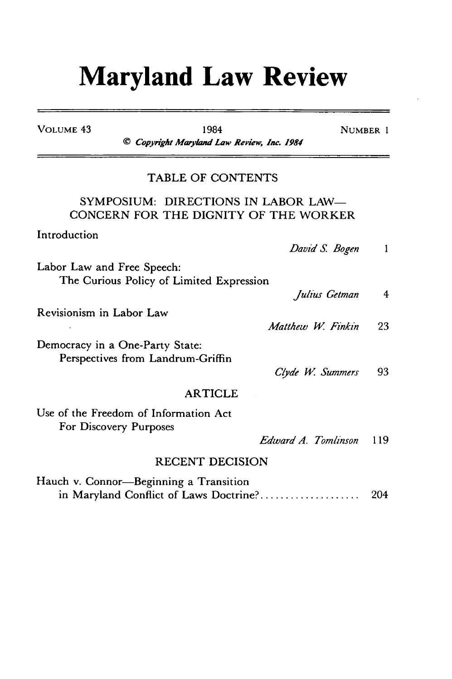## **Maryland Law Review**

| <b>VOLUME 43</b>           | 1984<br>© Copyright Maryland Law Review, Inc. 1984                               |                     | NUMBER 1                |
|----------------------------|----------------------------------------------------------------------------------|---------------------|-------------------------|
|                            | TABLE OF CONTENTS                                                                |                     |                         |
|                            | SYMPOSIUM: DIRECTIONS IN LABOR LAW-<br>CONCERN FOR THE DIGNITY OF THE WORKER     |                     |                         |
| Introduction               |                                                                                  | David S. Bogen      | -1                      |
| Labor Law and Free Speech: | The Curious Policy of Limited Expression                                         |                     |                         |
|                            |                                                                                  | Julius Getman       | $\overline{\mathbf{4}}$ |
| Revisionism in Labor Law   |                                                                                  | Matthew W. Finkin   | 23                      |
|                            | Democracy in a One-Party State:<br>Perspectives from Landrum-Griffin             |                     |                         |
|                            |                                                                                  | Clyde W. Summers    | 93.                     |
|                            | <b>ARTICLE</b>                                                                   |                     |                         |
|                            | Use of the Freedom of Information Act<br>For Discovery Purposes                  |                     |                         |
|                            |                                                                                  | Edward A. Tomlinson | 119                     |
|                            | <b>RECENT DECISION</b>                                                           |                     |                         |
|                            | Hauch v. Connor-Beginning a Transition<br>in Maryland Conflict of Laws Doctrine? |                     | 204                     |